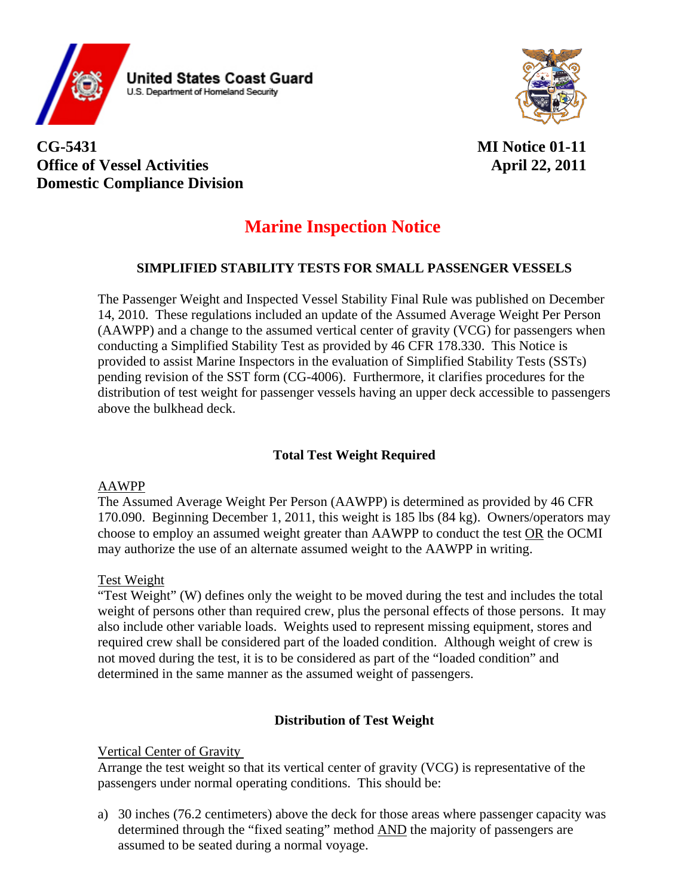

## **CG-5431 MI Notice 01-11 Office of Vessel Activities** April 22, 2011 **Domestic Compliance Division**

# **Marine Inspection Notice**

## **SIMPLIFIED STABILITY TESTS FOR SMALL PASSENGER VESSELS**

The Passenger Weight and Inspected Vessel Stability Final Rule was published on December 14, 2010. These regulations included an update of the Assumed Average Weight Per Person (AAWPP) and a change to the assumed vertical center of gravity (VCG) for passengers when conducting a Simplified Stability Test as provided by 46 CFR 178.330. This Notice is provided to assist Marine Inspectors in the evaluation of Simplified Stability Tests (SSTs) pending revision of the SST form (CG-4006). Furthermore, it clarifies procedures for the distribution of test weight for passenger vessels having an upper deck accessible to passengers above the bulkhead deck.

## **Total Test Weight Required**

#### AAWPP

The Assumed Average Weight Per Person (AAWPP) is determined as provided by 46 CFR 170.090. Beginning December 1, 2011, this weight is 185 lbs (84 kg). Owners/operators may choose to employ an assumed weight greater than AAWPP to conduct the test OR the OCMI may authorize the use of an alternate assumed weight to the AAWPP in writing.

#### Test Weight

"Test Weight" (W) defines only the weight to be moved during the test and includes the total weight of persons other than required crew, plus the personal effects of those persons. It may also include other variable loads. Weights used to represent missing equipment, stores and required crew shall be considered part of the loaded condition. Although weight of crew is not moved during the test, it is to be considered as part of the "loaded condition" and determined in the same manner as the assumed weight of passengers.

### **Distribution of Test Weight**

#### Vertical Center of Gravity

Arrange the test weight so that its vertical center of gravity (VCG) is representative of the passengers under normal operating conditions. This should be:

a) 30 inches (76.2 centimeters) above the deck for those areas where passenger capacity was determined through the "fixed seating" method AND the majority of passengers are assumed to be seated during a normal voyage.